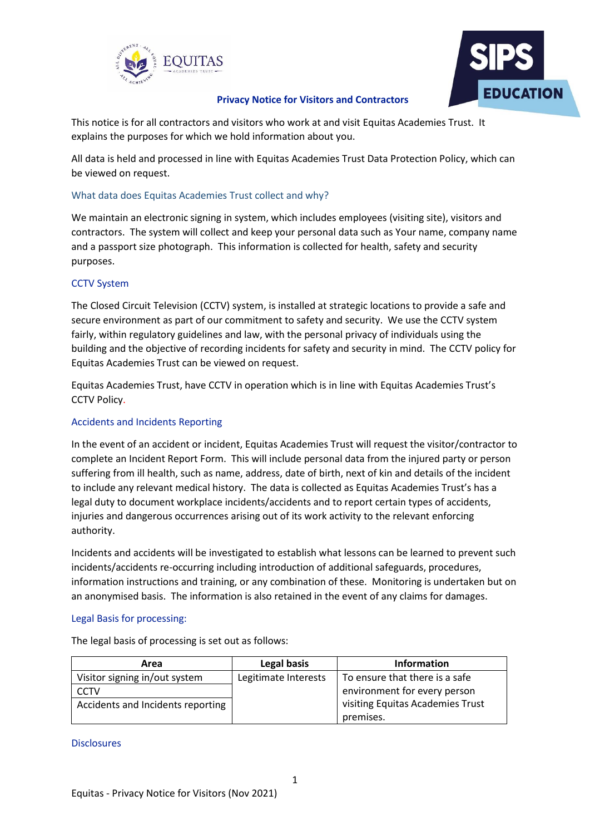



# **Privacy Notice for Visitors and Contractors**

This notice is for all contractors and visitors who work at and visit Equitas Academies Trust. It explains the purposes for which we hold information about you.

All data is held and processed in line with Equitas Academies Trust Data Protection Policy, which can be viewed on request.

# What data does Equitas Academies Trust collect and why?

We maintain an electronic signing in system, which includes employees (visiting site), visitors and contractors. The system will collect and keep your personal data such as Your name, company name and a passport size photograph. This information is collected for health, safety and security purposes.

## CCTV System

The Closed Circuit Television (CCTV) system, is installed at strategic locations to provide a safe and secure environment as part of our commitment to safety and security. We use the CCTV system fairly, within regulatory guidelines and law, with the personal privacy of individuals using the building and the objective of recording incidents for safety and security in mind. The CCTV policy for Equitas Academies Trust can be viewed on request.

Equitas Academies Trust, have CCTV in operation which is in line with Equitas Academies Trust's CCTV Policy.

# Accidents and Incidents Reporting

In the event of an accident or incident, Equitas Academies Trust will request the visitor/contractor to complete an Incident Report Form. This will include personal data from the injured party or person suffering from ill health, such as name, address, date of birth, next of kin and details of the incident to include any relevant medical history. The data is collected as Equitas Academies Trust's has a legal duty to document workplace incidents/accidents and to report certain types of accidents, injuries and dangerous occurrences arising out of its work activity to the relevant enforcing authority.

Incidents and accidents will be investigated to establish what lessons can be learned to prevent such incidents/accidents re-occurring including introduction of additional safeguards, procedures, information instructions and training, or any combination of these. Monitoring is undertaken but on an anonymised basis. The information is also retained in the event of any claims for damages.

## Legal Basis for processing:

| Area                              | Legal basis          | Information                      |
|-----------------------------------|----------------------|----------------------------------|
| Visitor signing in/out system     | Legitimate Interests | To ensure that there is a safe   |
| CCTV                              |                      | environment for every person     |
| Accidents and Incidents reporting |                      | visiting Equitas Academies Trust |
|                                   |                      | premises.                        |

The legal basis of processing is set out as follows:

#### Disclosures